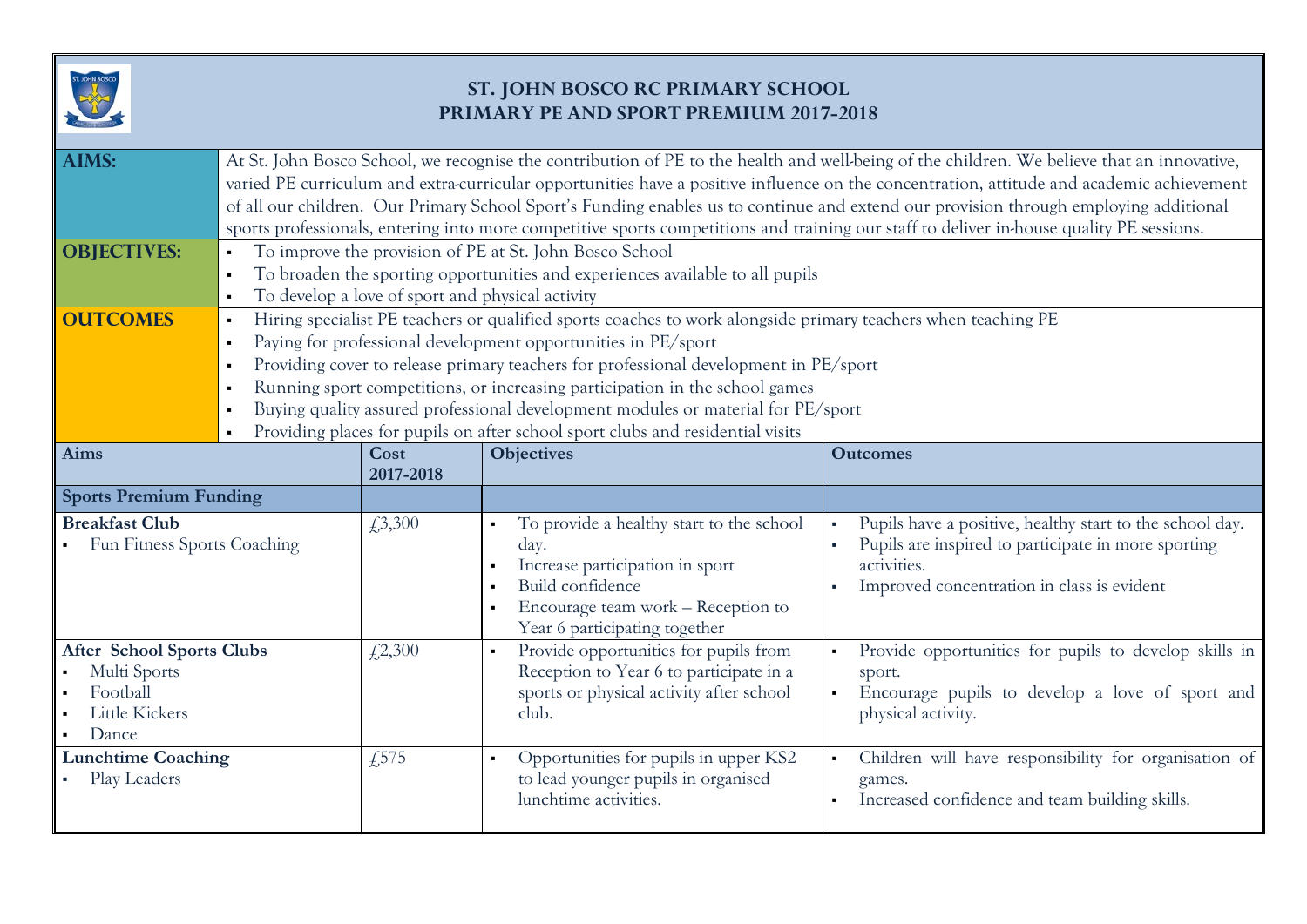

## **ST. JOHN BOSCO RC PRIMARY SCHOOL PRIMARY PE AND SPORT PREMIUM 2017-2018**

| <b>AIMS:</b>                                                                                   | At St. John Bosco School, we recognise the contribution of PE to the health and well-being of the children. We believe that an innovative,<br>varied PE curriculum and extra-curricular opportunities have a positive influence on the concentration, attitude and academic achievement<br>of all our children. Our Primary School Sport's Funding enables us to continue and extend our provision through employing additional<br>sports professionals, entering into more competitive sports competitions and training our staff to deliver in-house quality PE sessions. |                                                                                                             |                                                                                                                                                                                                                    |                                                                                                                                                                              |  |  |  |
|------------------------------------------------------------------------------------------------|-----------------------------------------------------------------------------------------------------------------------------------------------------------------------------------------------------------------------------------------------------------------------------------------------------------------------------------------------------------------------------------------------------------------------------------------------------------------------------------------------------------------------------------------------------------------------------|-------------------------------------------------------------------------------------------------------------|--------------------------------------------------------------------------------------------------------------------------------------------------------------------------------------------------------------------|------------------------------------------------------------------------------------------------------------------------------------------------------------------------------|--|--|--|
| <b>OBJECTIVES:</b>                                                                             | To improve the provision of PE at St. John Bosco School<br>To broaden the sporting opportunities and experiences available to all pupils                                                                                                                                                                                                                                                                                                                                                                                                                                    |                                                                                                             |                                                                                                                                                                                                                    |                                                                                                                                                                              |  |  |  |
|                                                                                                |                                                                                                                                                                                                                                                                                                                                                                                                                                                                                                                                                                             | To develop a love of sport and physical activity                                                            |                                                                                                                                                                                                                    |                                                                                                                                                                              |  |  |  |
| <b>OUTCOMES</b>                                                                                | Hiring specialist PE teachers or qualified sports coaches to work alongside primary teachers when teaching PE<br>$\blacksquare$                                                                                                                                                                                                                                                                                                                                                                                                                                             |                                                                                                             |                                                                                                                                                                                                                    |                                                                                                                                                                              |  |  |  |
|                                                                                                | Paying for professional development opportunities in PE/sport<br>$\blacksquare$                                                                                                                                                                                                                                                                                                                                                                                                                                                                                             |                                                                                                             |                                                                                                                                                                                                                    |                                                                                                                                                                              |  |  |  |
|                                                                                                | Providing cover to release primary teachers for professional development in PE/sport<br>$\blacksquare$                                                                                                                                                                                                                                                                                                                                                                                                                                                                      |                                                                                                             |                                                                                                                                                                                                                    |                                                                                                                                                                              |  |  |  |
|                                                                                                | Running sport competitions, or increasing participation in the school games<br>$\blacksquare$                                                                                                                                                                                                                                                                                                                                                                                                                                                                               |                                                                                                             |                                                                                                                                                                                                                    |                                                                                                                                                                              |  |  |  |
|                                                                                                | Buying quality assured professional development modules or material for PE/sport                                                                                                                                                                                                                                                                                                                                                                                                                                                                                            |                                                                                                             |                                                                                                                                                                                                                    |                                                                                                                                                                              |  |  |  |
| <b>Aims</b>                                                                                    |                                                                                                                                                                                                                                                                                                                                                                                                                                                                                                                                                                             | Providing places for pupils on after school sport clubs and residential visits<br><b>Objectives</b><br>Cost |                                                                                                                                                                                                                    | <b>Outcomes</b>                                                                                                                                                              |  |  |  |
|                                                                                                |                                                                                                                                                                                                                                                                                                                                                                                                                                                                                                                                                                             | 2017-2018                                                                                                   |                                                                                                                                                                                                                    |                                                                                                                                                                              |  |  |  |
| <b>Sports Premium Funding</b>                                                                  |                                                                                                                                                                                                                                                                                                                                                                                                                                                                                                                                                                             |                                                                                                             |                                                                                                                                                                                                                    |                                                                                                                                                                              |  |  |  |
| <b>Breakfast Club</b><br>Fun Fitness Sports Coaching                                           |                                                                                                                                                                                                                                                                                                                                                                                                                                                                                                                                                                             | £3,300                                                                                                      | To provide a healthy start to the school<br>$\blacksquare$<br>day.<br>Increase participation in sport<br>Build confidence<br>$\blacksquare$<br>Encourage team work - Reception to<br>Year 6 participating together | Pupils have a positive, healthy start to the school day.<br>Pupils are inspired to participate in more sporting<br>activities.<br>Improved concentration in class is evident |  |  |  |
| <b>After School Sports Clubs</b><br>Multi Sports<br>Football<br><b>Little Kickers</b><br>Dance |                                                                                                                                                                                                                                                                                                                                                                                                                                                                                                                                                                             | £2,300                                                                                                      | Provide opportunities for pupils from<br>$\blacksquare$<br>Reception to Year 6 to participate in a<br>sports or physical activity after school<br>club.                                                            | Provide opportunities for pupils to develop skills in<br>sport.<br>Encourage pupils to develop a love of sport and<br>physical activity.                                     |  |  |  |
| <b>Lunchtime Coaching</b><br>Play Leaders                                                      |                                                                                                                                                                                                                                                                                                                                                                                                                                                                                                                                                                             | £575                                                                                                        | Opportunities for pupils in upper KS2<br>$\blacksquare$<br>to lead younger pupils in organised<br>lunchtime activities.                                                                                            | Children will have responsibility for organisation of<br>games.<br>Increased confidence and team building skills.                                                            |  |  |  |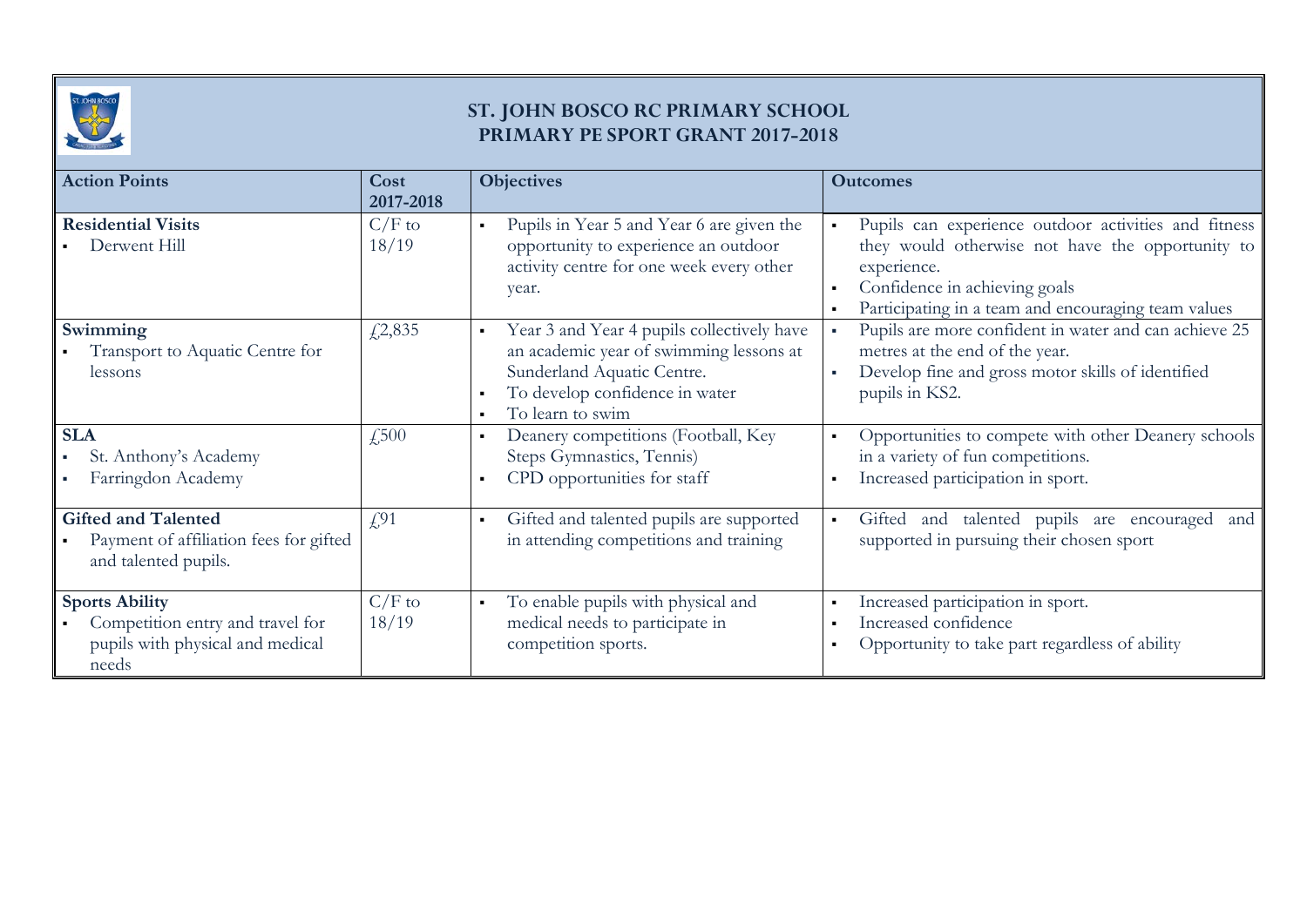

## **ST. JOHN BOSCO RC PRIMARY SCHOOL PRIMARY PE SPORT GRANT 2017-2018**

| <b>Action Points</b>                                                                                   | Cost<br>2017-2018 | <b>Objectives</b>                                                                                                                                                                                             | <b>Outcomes</b>                                                                                                                                                                                                 |
|--------------------------------------------------------------------------------------------------------|-------------------|---------------------------------------------------------------------------------------------------------------------------------------------------------------------------------------------------------------|-----------------------------------------------------------------------------------------------------------------------------------------------------------------------------------------------------------------|
| <b>Residential Visits</b><br>Derwent Hill                                                              | $C/F$ to<br>18/19 | Pupils in Year 5 and Year 6 are given the<br>$\blacksquare$<br>opportunity to experience an outdoor<br>activity centre for one week every other<br>year.                                                      | Pupils can experience outdoor activities and fitness<br>they would otherwise not have the opportunity to<br>experience.<br>Confidence in achieving goals<br>Participating in a team and encouraging team values |
| Swimming<br>Transport to Aquatic Centre for<br>lessons                                                 | £2,835            | Year 3 and Year 4 pupils collectively have<br>$\blacksquare$<br>an academic year of swimming lessons at<br>Sunderland Aquatic Centre.<br>To develop confidence in water<br>To learn to swim<br>$\blacksquare$ | Pupils are more confident in water and can achieve 25<br>$\mathbf{r}$ .<br>metres at the end of the year.<br>Develop fine and gross motor skills of identified<br>×<br>pupils in KS2.                           |
| <b>SLA</b><br>St. Anthony's Academy<br>Farringdon Academy                                              | $\sqrt{.500}$     | Deanery competitions (Football, Key<br>$\blacksquare$<br>Steps Gymnastics, Tennis)<br>CPD opportunities for staff                                                                                             | Opportunities to compete with other Deanery schools<br>in a variety of fun competitions.<br>Increased participation in sport.                                                                                   |
| <b>Gifted and Talented</b><br>Payment of affiliation fees for gifted<br>and talented pupils.           | f(91)             | Gifted and talented pupils are supported<br>in attending competitions and training                                                                                                                            | Gifted and talented pupils are encouraged and<br>$\blacksquare$<br>supported in pursuing their chosen sport                                                                                                     |
| <b>Sports Ability</b><br>Competition entry and travel for<br>pupils with physical and medical<br>needs | $C/F$ to<br>18/19 | To enable pupils with physical and<br>$\blacksquare$<br>medical needs to participate in<br>competition sports.                                                                                                | Increased participation in sport.<br>Increased confidence<br>Opportunity to take part regardless of ability                                                                                                     |